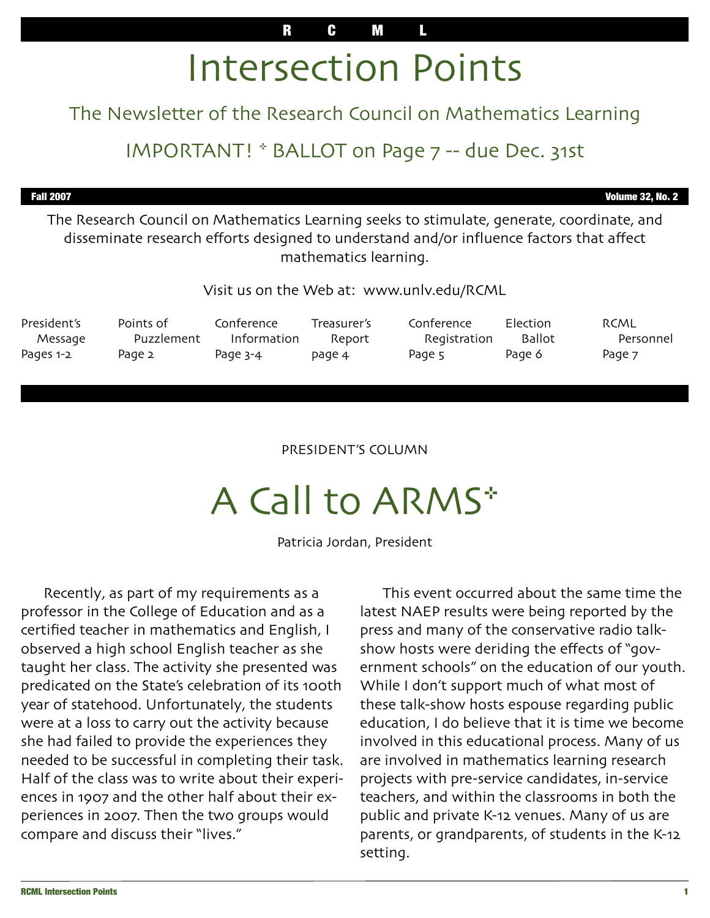# Intersection Points

### The Newsletter of the Research Council on Mathematics Learning

## IMPORTANT! \* BALLOT on Page 7 -- due Dec. 31st

Fall 2007 Volume 32, No. 2

The Research Council on Mathematics Learning seeks to stimulate, generate, coordinate, and disseminate research efforts designed to understand and/or influence factors that affect mathematics learning.

Visit us on the Web at: www.unlv.edu/RCML

| President's | Points of  | Conference  | Treasurer's | Conference          | Election      | RCML      |
|-------------|------------|-------------|-------------|---------------------|---------------|-----------|
| Message     | Puzzlement | Information | Report      | <b>Registration</b> | <b>Ballot</b> | Personnel |
| Pages 1-2   | Page 2     | Page 3-4    | page 4      | Page 5              | Page 6        | Page 7    |

#### PRESIDENT'S COLUMN

# A Call to ARMS\*

Patricia Jordan, President

 Recently, as part of my requirements as a professor in the College of Education and as a certified teacher in mathematics and English, I observed a high school English teacher as she taught her class. The activity she presented was predicated on the State's celebration of its 100th year of statehood. Unfortunately, the students were at a loss to carry out the activity because she had failed to provide the experiences they needed to be successful in completing their task. Half of the class was to write about their experiences in 1907 and the other half about their experiences in 2007. Then the two groups would compare and discuss their "lives."

 This event occurred about the same time the latest NAEP results were being reported by the press and many of the conservative radio talkshow hosts were deriding the effects of "government schools" on the education of our youth. While I don't support much of what most of these talk-show hosts espouse regarding public education, I do believe that it is time we become involved in this educational process. Many of us are involved in mathematics learning research projects with pre-service candidates, in-service teachers, and within the classrooms in both the public and private K-12 venues. Many of us are parents, or grandparents, of students in the K-12 setting.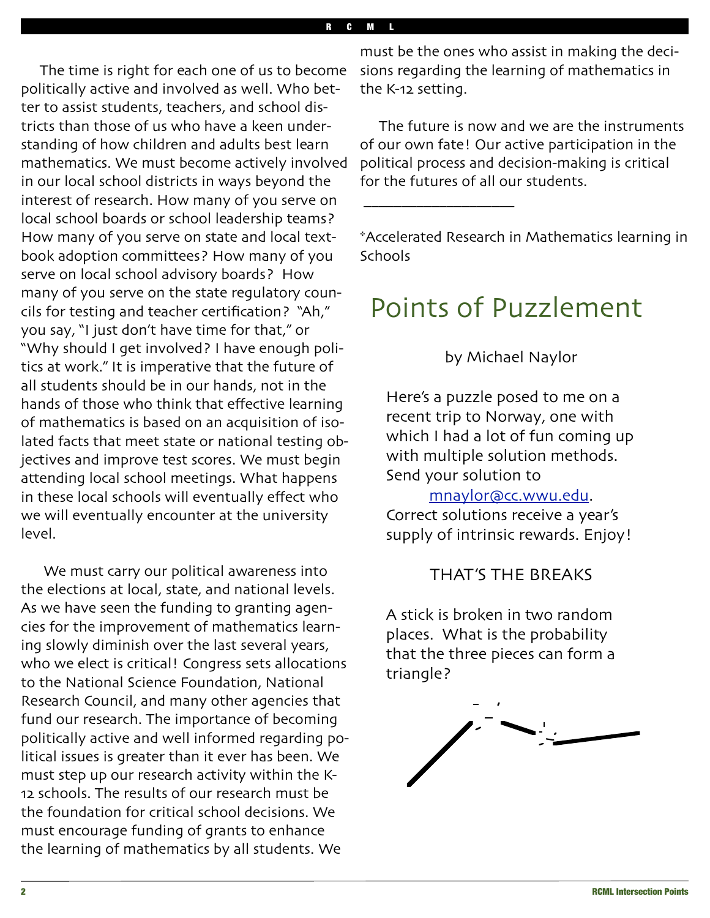The time is right for each one of us to become politically active and involved as well. Who better to assist students, teachers, and school districts than those of us who have a keen understanding of how children and adults best learn mathematics. We must become actively involved in our local school districts in ways beyond the interest of research. How many of you serve on local school boards or school leadership teams? How many of you serve on state and local textbook adoption committees? How many of you serve on local school advisory boards? How many of you serve on the state regulatory councils for testing and teacher certification? "Ah," you say, "I just don't have time for that," or "Why should I get involved? I have enough politics at work." It is imperative that the future of all students should be in our hands, not in the hands of those who think that effective learning of mathematics is based on an acquisition of isolated facts that meet state or national testing objectives and improve test scores. We must begin attending local school meetings. What happens in these local schools will eventually effect who we will eventually encounter at the university level.

 We must carry our political awareness into the elections at local, state, and national levels. As we have seen the funding to granting agencies for the improvement of mathematics learning slowly diminish over the last several years, who we elect is critical! Congress sets allocations to the National Science Foundation, National Research Council, and many other agencies that fund our research. The importance of becoming politically active and well informed regarding political issues is greater than it ever has been. We must step up our research activity within the K-12 schools. The results of our research must be the foundation for critical school decisions. We must encourage funding of grants to enhance the learning of mathematics by all students. We

must be the ones who assist in making the decisions regarding the learning of mathematics in the K-12 setting.

 The future is now and we are the instruments of our own fate! Our active participation in the political process and decision-making is critical for the futures of all our students.

\*Accelerated Research in Mathematics learning in Schools

## Points of Puzzlement

 $\overline{\phantom{a}}$  , and the set of the set of the set of the set of the set of the set of the set of the set of the set of the set of the set of the set of the set of the set of the set of the set of the set of the set of the s

by Michael Naylor

Here's a puzzle posed to me on a recent trip to Norway, one with which I had a lot of fun coming up with multiple solution methods. Send your solution to

#### [mnaylor@cc](mailto:mnaylor@cc.wwu.edu).wwu.edu.

Correct solutions receive a year's supply of intrinsic rewards. Enjoy!

#### THAT'S THE BREAKS

A stick is broken in two random places. What is the probability that the three pieces can form a triangle?

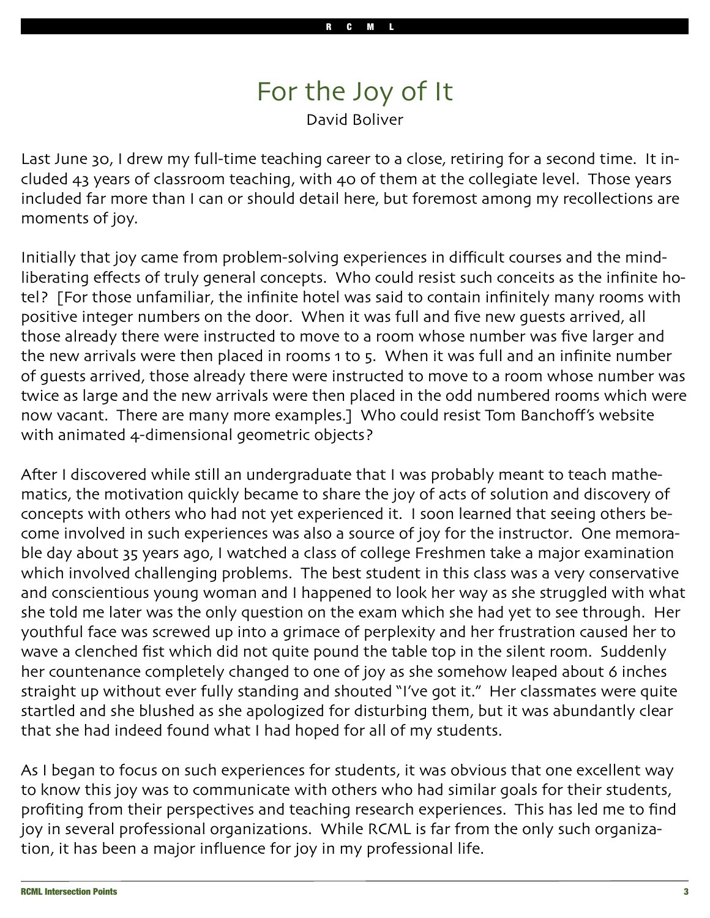## For the Joy of It David Boliver

Last June 30, I drew my full-time teaching career to a close, retiring for a second time. It included 43 years of classroom teaching, with 40 of them at the collegiate level. Those years included far more than I can or should detail here, but foremost among my recollections are moments of joy.

Initially that joy came from problem-solving experiences in difficult courses and the mindliberating effects of truly general concepts. Who could resist such conceits as the infinite hotel? [For those unfamiliar, the infinite hotel was said to contain infinitely many rooms with positive integer numbers on the door. When it was full and five new guests arrived, all those already there were instructed to move to a room whose number was five larger and the new arrivals were then placed in rooms 1 to 5. When it was full and an infinite number of guests arrived, those already there were instructed to move to a room whose number was twice as large and the new arrivals were then placed in the odd numbered rooms which were now vacant. There are many more examples.] Who could resist Tom Banchoff's website with animated 4-dimensional geometric objects?

After I discovered while still an undergraduate that I was probably meant to teach mathematics, the motivation quickly became to share the joy of acts of solution and discovery of concepts with others who had not yet experienced it. I soon learned that seeing others become involved in such experiences was also a source of joy for the instructor. One memorable day about 35 years ago, I watched a class of college Freshmen take a major examination which involved challenging problems. The best student in this class was a very conservative and conscientious young woman and I happened to look her way as she struggled with what she told me later was the only question on the exam which she had yet to see through. Her youthful face was screwed up into a grimace of perplexity and her frustration caused her to wave a clenched fist which did not quite pound the table top in the silent room. Suddenly her countenance completely changed to one of joy as she somehow leaped about 6 inches straight up without ever fully standing and shouted "I've got it." Her classmates were quite startled and she blushed as she apologized for disturbing them, but it was abundantly clear that she had indeed found what I had hoped for all of my students.

As I began to focus on such experiences for students, it was obvious that one excellent way to know this joy was to communicate with others who had similar goals for their students, profiting from their perspectives and teaching research experiences. This has led me to find joy in several professional organizations. While RCML is far from the only such organization, it has been a major influence for joy in my professional life.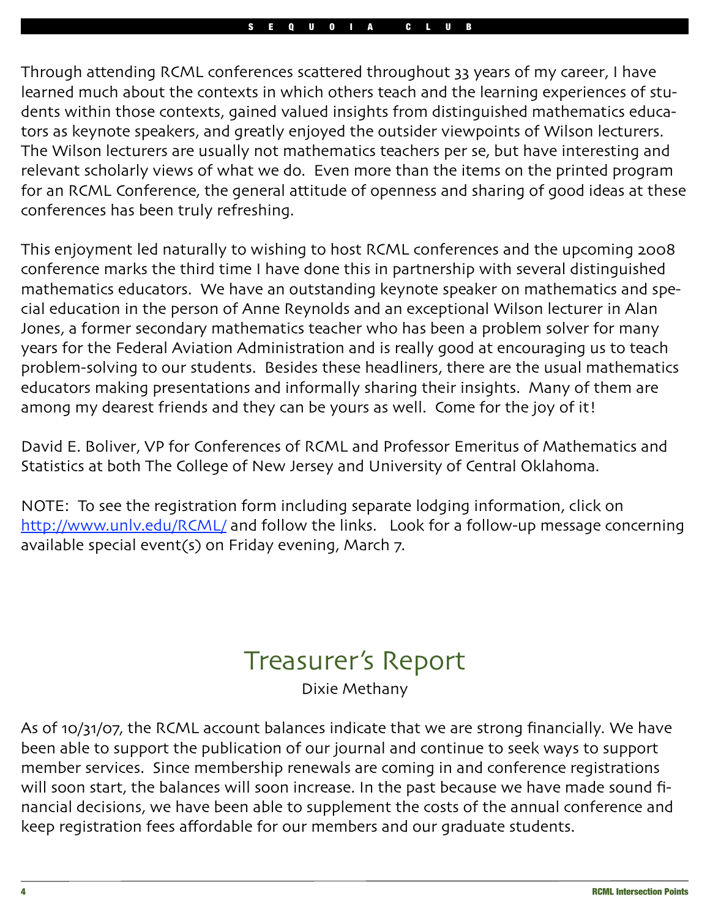Through attending RCML conferences scattered throughout 33 years of my career, I have learned much about the contexts in which others teach and the learning experiences of students within those contexts, gained valued insights from distinguished mathematics educators as keynote speakers, and greatly enjoyed the outsider viewpoints of Wilson lecturers. The Wilson lecturers are usually not mathematics teachers per se, but have interesting and relevant scholarly views of what we do. Even more than the items on the printed program for an RCML Conference, the general attitude of openness and sharing of good ideas at these conferences has been truly refreshing.

This enjoyment led naturally to wishing to host RCML conferences and the upcoming 2008 conference marks the third time I have done this in partnership with several distinguished mathematics educators. We have an outstanding keynote speaker on mathematics and special education in the person of Anne Reynolds and an exceptional Wilson lecturer in Alan Jones, a former secondary mathematics teacher who has been a problem solver for many years for the Federal Aviation Administration and is really good at encouraging us to teach problem-solving to our students. Besides these headliners, there are the usual mathematics educators making presentations and informally sharing their insights. Many of them are among my dearest friends and they can be yours as well. Come for the joy of it!

David E. Boliver, VP for Conferences of RCML and Professor Emeritus of Mathematics and Statistics at both The College of New Jersey and University of Central Oklahoma.

NOTE: To see the registration form including separate lodging information, click on http://www.unlv.edu/[RCML](http://www.unlv.edu/RCML/)/ and follow the links. Look for a follow-up message concerning available special event(s) on Friday evening, March 7.

## Treasurer's Report

Dixie Methany

As of 10/31/07, the RCML account balances indicate that we are strong financially. We have been able to support the publication of our journal and continue to seek ways to support member services. Since membership renewals are coming in and conference registrations will soon start, the balances will soon increase. In the past because we have made sound financial decisions, we have been able to supplement the costs of the annual conference and keep registration fees affordable for our members and our graduate students.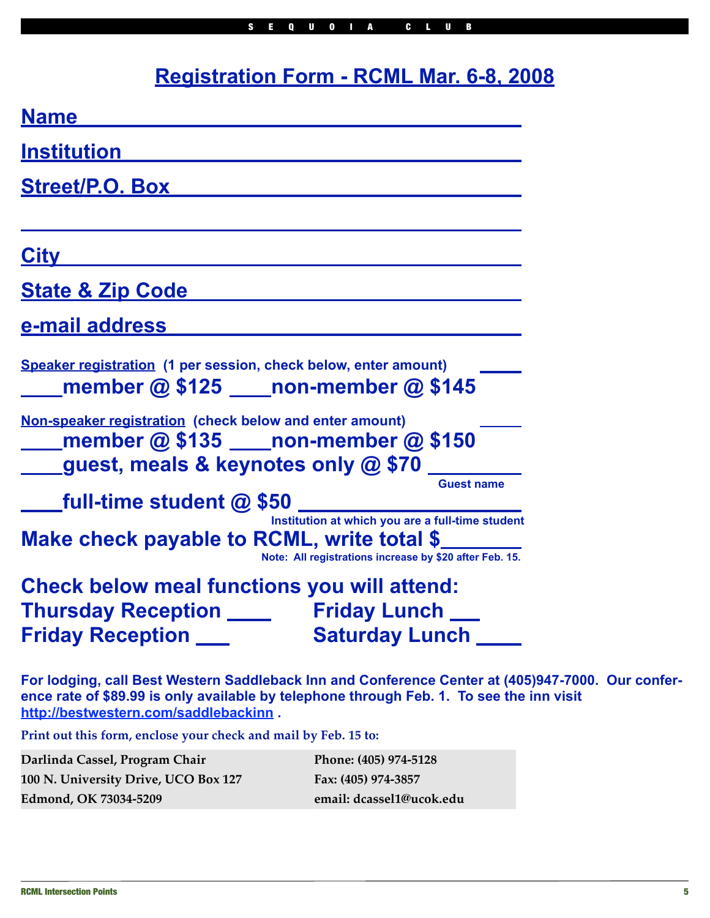## **Registration Form - RCML Mar. 6-8, 2008**

| <b>Name</b>                                                                                                                                                            |  |  |  |  |
|------------------------------------------------------------------------------------------------------------------------------------------------------------------------|--|--|--|--|
| <u><b>Institution</b></u>                                                                                                                                              |  |  |  |  |
| <b>Street/P.O. Box</b>                                                                                                                                                 |  |  |  |  |
| <u>City</u>                                                                                                                                                            |  |  |  |  |
| <b>State &amp; Zip Code</b>                                                                                                                                            |  |  |  |  |
| <u>e-mail address</u>                                                                                                                                                  |  |  |  |  |
| Speaker registration (1 per session, check below, enter amount)<br>_member @ \$125 ____non-member @ \$145                                                              |  |  |  |  |
| Non-speaker registration (check below and enter amount)<br>member @ \$135 ____ non-member @ \$150<br>_guest, meals & keynotes only @ \$70 ____                         |  |  |  |  |
| <b>Guest name</b>                                                                                                                                                      |  |  |  |  |
| <b>5U</b><br>Institution at which you are a full-time student<br>Make check payable to RCML, write total \$<br>Note: All registrations increase by \$20 after Feb. 15. |  |  |  |  |
| <b>Check below meal functions you will attend:</b>                                                                                                                     |  |  |  |  |
| <b>Thursday Reception ________ Friday Lunch ___</b>                                                                                                                    |  |  |  |  |
| <b>Saturday Lunch</b><br><b>Friday Reception ___</b>                                                                                                                   |  |  |  |  |
| For lodging, call Best Western Saddleback Inn and Conference Center at (405)9                                                                                          |  |  |  |  |

**For** *For 2000***. Our conference rate of \$89.99 is only available by telephone through Feb. 1. To see the inn visit <http://bestwestern.com/saddlebackinn> .**

**Print out this form, enclose your check and mail by Feb. 15 to:**

| Darlinda Cassel, Program Chair              | Phone: (405) 974-5128    |
|---------------------------------------------|--------------------------|
| <b>100 N. University Drive, UCO Box 127</b> | Fax: (405) 974-3857      |
| Edmond, OK 73034-5209                       | email: dcassel1@ucok.edu |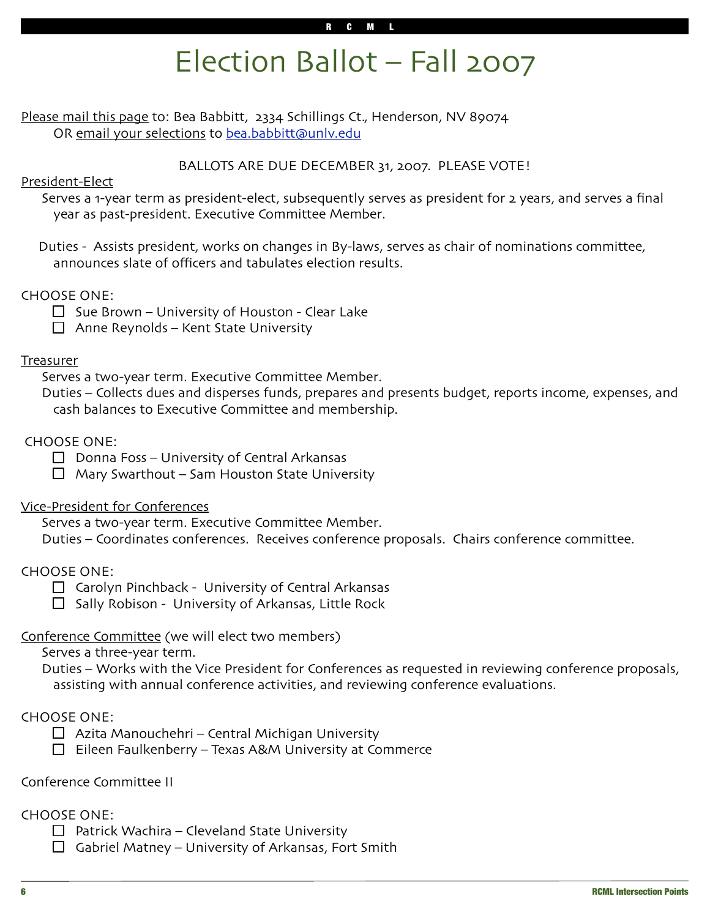## Election Ballot – Fall 2007

Please mail this page to: Bea Babbitt, 2334 Schillings Ct., Henderson, NV 89074 OR email your selections to bea.babbitt@unly.edu

BALLOTS ARE DUE DECEMBER 31, 2007. PLEASE VOTE!

#### President-Elect

 Serves a 1-year term as president-elect, subsequently serves as president for 2 years, and serves a final year as past-president. Executive Committee Member.

 Duties - Assists president, works on changes in By-laws, serves as chair of nominations committee, announces slate of officers and tabulates election results.

#### CHOOSE ONE:

 $\Box$  Sue Brown – University of Houston - Clear Lake

 $\Box$  Anne Reynolds – Kent State University

#### **Treasurer**

Serves a two-year term. Executive Committee Member.

 Duties – Collects dues and disperses funds, prepares and presents budget, reports income, expenses, and cash balances to Executive Committee and membership.

#### CHOOSE ONE:

 $\Box$  Donna Foss – University of Central Arkansas

 $\Box$  Mary Swarthout – Sam Houston State University

#### Vice-President for Conferences

Serves a two-year term. Executive Committee Member.

Duties – Coordinates conferences. Receives conference proposals. Chairs conference committee.

#### CHOOSE ONE:

 $\Box$  Carolyn Pinchback - University of Central Arkansas

 $\Box$  Sally Robison - University of Arkansas, Little Rock

#### Conference Committee (we will elect two members)

Serves a three-year term.

 Duties – Works with the Vice President for Conferences as requested in reviewing conference proposals, assisting with annual conference activities, and reviewing conference evaluations.

#### CHOOSE ONE:

- $\Box$  Azita Manouchehri Central Michigan University
- $\Box$  Eileen Faulkenberry Texas A&M University at Commerce

#### Conference Committee II

#### CHOOSE ONE:

- $\Box$  Patrick Wachira Cleveland State University
- $\Box$  Gabriel Matney University of Arkansas, Fort Smith